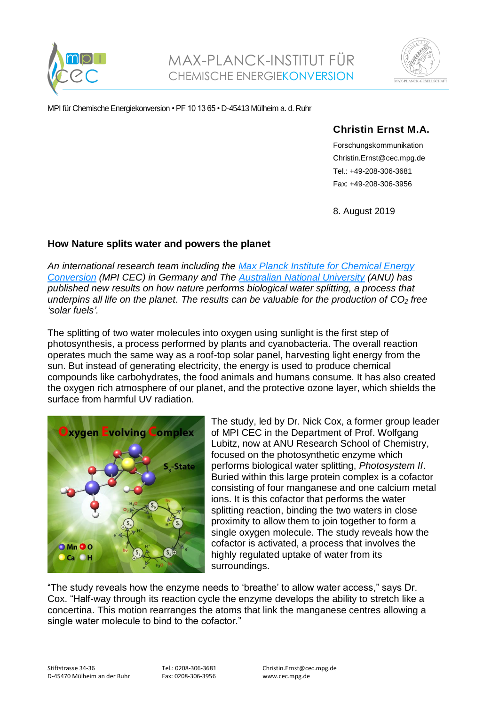



MPI für Chemische Energiekonversion • PF 1013 65 • D-45413 Mülheim a. d. Ruhr

## **Christin Ernst M.A.**

Forschungskommunikation Christin.Ernst@cec.mpg.de Tel.: +49-208-306-3681 Fax: +49-208-306-3956

8. August 2019

## **How Nature splits water and powers the planet**

*An international research team including the [Max Planck Institute for Chemical Energy](http://www.cec.mpg.de/)  [Conversion](http://www.cec.mpg.de/) (MPI CEC) in Germany and The [Australian National University](https://www.anu.edu.au/) (ANU) has published new results on how nature performs biological water splitting, a process that underpins all life on the planet. The results can be valuable for the production of CO<sup>2</sup> free 'solar fuels'.*

The splitting of two water molecules into oxygen using sunlight is the first step of photosynthesis, a process performed by plants and cyanobacteria. The overall reaction operates much the same way as a roof-top solar panel, harvesting light energy from the sun. But instead of generating electricity, the energy is used to produce chemical compounds like carbohydrates, the food animals and humans consume. It has also created the oxygen rich atmosphere of our planet, and the protective ozone layer, which shields the surface from harmful UV radiation.



The study, led by Dr. Nick Cox, a former group leader of MPI CEC in the Department of Prof. Wolfgang Lubitz, now at ANU Research School of Chemistry, focused on the photosynthetic enzyme which performs biological water splitting, *Photosystem II*. Buried within this large protein complex is a cofactor consisting of four manganese and one calcium metal ions. It is this cofactor that performs the water splitting reaction, binding the two waters in close proximity to allow them to join together to form a single oxygen molecule. The study reveals how the cofactor is activated, a process that involves the highly regulated uptake of water from its surroundings.

"The study reveals how the enzyme needs to 'breathe' to allow water access," says Dr. Cox. "Half-way through its reaction cycle the enzyme develops the ability to stretch like a concertina. This motion rearranges the atoms that link the manganese centres allowing a single water molecule to bind to the cofactor."